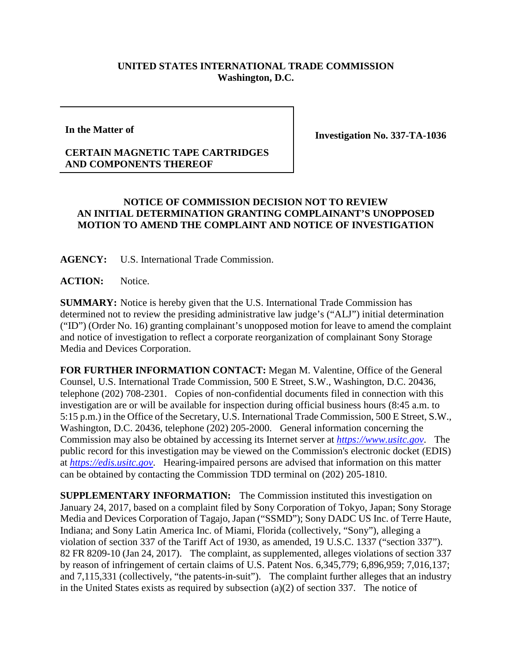## **UNITED STATES INTERNATIONAL TRADE COMMISSION Washington, D.C.**

**In the Matter of**

**Investigation No. 337-TA-1036**

## **CERTAIN MAGNETIC TAPE CARTRIDGES AND COMPONENTS THEREOF**

## **NOTICE OF COMMISSION DECISION NOT TO REVIEW AN INITIAL DETERMINATION GRANTING COMPLAINANT'S UNOPPOSED MOTION TO AMEND THE COMPLAINT AND NOTICE OF INVESTIGATION**

**AGENCY:** U.S. International Trade Commission.

**ACTION:** Notice.

**SUMMARY:** Notice is hereby given that the U.S. International Trade Commission has determined not to review the presiding administrative law judge's ("ALJ") initial determination ("ID") (Order No. 16) granting complainant's unopposed motion for leave to amend the complaint and notice of investigation to reflect a corporate reorganization of complainant Sony Storage Media and Devices Corporation.

**FOR FURTHER INFORMATION CONTACT:** Megan M. Valentine, Office of the General Counsel, U.S. International Trade Commission, 500 E Street, S.W., Washington, D.C. 20436, telephone (202) 708-2301. Copies of non-confidential documents filed in connection with this investigation are or will be available for inspection during official business hours (8:45 a.m. to 5:15 p.m.) in the Office of the Secretary, U.S. International Trade Commission, 500 E Street, S.W., Washington, D.C. 20436, telephone (202) 205-2000. General information concerning the Commission may also be obtained by accessing its Internet server at *[https://www.usitc.gov](https://www.usitc.gov/)*. The public record for this investigation may be viewed on the Commission's electronic docket (EDIS) at *[https://edis.usitc.gov](https://edis.usitc.gov/)*. Hearing-impaired persons are advised that information on this matter can be obtained by contacting the Commission TDD terminal on (202) 205-1810.

**SUPPLEMENTARY INFORMATION:** The Commission instituted this investigation on January 24, 2017, based on a complaint filed by Sony Corporation of Tokyo, Japan; Sony Storage Media and Devices Corporation of Tagajo, Japan ("SSMD"); Sony DADC US Inc. of Terre Haute, Indiana; and Sony Latin America Inc. of Miami, Florida (collectively, "Sony"), alleging a violation of section 337 of the Tariff Act of 1930, as amended, 19 U.S.C. 1337 ("section 337"). 82 FR 8209-10 (Jan 24, 2017). The complaint, as supplemented, alleges violations of section 337 by reason of infringement of certain claims of U.S. Patent Nos. 6,345,779; 6,896,959; 7,016,137; and 7,115,331 (collectively, "the patents-in-suit"). The complaint further alleges that an industry in the United States exists as required by subsection (a)(2) of section 337. The notice of